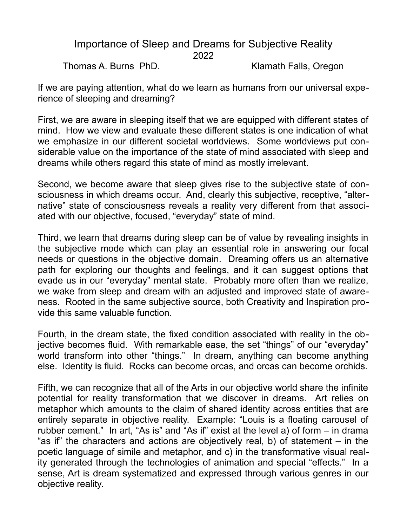## Importance of Sleep and Dreams for Subjective Reality 2022

Thomas A. Burns PhD. Klamath Falls, Oregon

If we are paying attention, what do we learn as humans from our universal experience of sleeping and dreaming?

First, we are aware in sleeping itself that we are equipped with different states of mind. How we view and evaluate these different states is one indication of what we emphasize in our different societal worldviews. Some worldviews put considerable value on the importance of the state of mind associated with sleep and dreams while others regard this state of mind as mostly irrelevant.

Second, we become aware that sleep gives rise to the subjective state of consciousness in which dreams occur. And, clearly this subjective, receptive, "alternative" state of consciousness reveals a reality very different from that associated with our objective, focused, "everyday" state of mind.

Third, we learn that dreams during sleep can be of value by revealing insights in the subjective mode which can play an essential role in answering our focal needs or questions in the objective domain. Dreaming offers us an alternative path for exploring our thoughts and feelings, and it can suggest options that evade us in our "everyday" mental state. Probably more often than we realize, we wake from sleep and dream with an adjusted and improved state of awareness. Rooted in the same subjective source, both Creativity and Inspiration provide this same valuable function.

Fourth, in the dream state, the fixed condition associated with reality in the objective becomes fluid. With remarkable ease, the set "things" of our "everyday" world transform into other "things." In dream, anything can become anything else. Identity is fluid. Rocks can become orcas, and orcas can become orchids.

Fifth, we can recognize that all of the Arts in our objective world share the infinite potential for reality transformation that we discover in dreams. Art relies on metaphor which amounts to the claim of shared identity across entities that are entirely separate in objective reality. Example: "Louis is a floating carousel of rubber cement." In art, "As is" and "As if" exist at the level a) of form – in drama "as if" the characters and actions are objectively real, b) of statement – in the poetic language of simile and metaphor, and c) in the transformative visual reality generated through the technologies of animation and special "effects." In a sense, Art is dream systematized and expressed through various genres in our objective reality.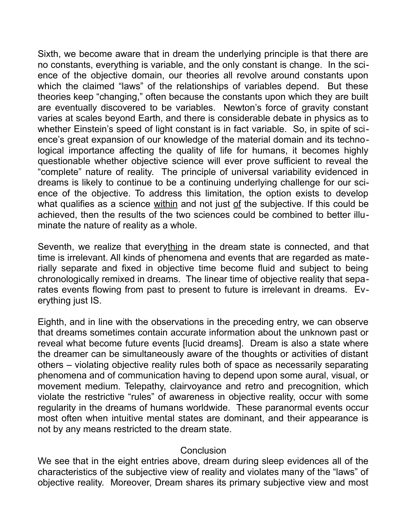Sixth, we become aware that in dream the underlying principle is that there are no constants, everything is variable, and the only constant is change. In the science of the objective domain, our theories all revolve around constants upon which the claimed "laws" of the relationships of variables depend. But these theories keep "changing," often because the constants upon which they are built are eventually discovered to be variables. Newton's force of gravity constant varies at scales beyond Earth, and there is considerable debate in physics as to whether Einstein's speed of light constant is in fact variable. So, in spite of science's great expansion of our knowledge of the material domain and its technological importance affecting the quality of life for humans, it becomes highly questionable whether objective science will ever prove sufficient to reveal the "complete" nature of reality. The principle of universal variability evidenced in dreams is likely to continue to be a continuing underlying challenge for our science of the objective. To address this limitation, the option exists to develop what qualifies as a science within and not just of the subjective. If this could be achieved, then the results of the two sciences could be combined to better illuminate the nature of reality as a whole.

Seventh, we realize that everything in the dream state is connected, and that time is irrelevant. All kinds of phenomena and events that are regarded as materially separate and fixed in objective time become fluid and subject to being chronologically remixed in dreams. The linear time of objective reality that separates events flowing from past to present to future is irrelevant in dreams. Everything just IS.

Eighth, and in line with the observations in the preceding entry, we can observe that dreams sometimes contain accurate information about the unknown past or reveal what become future events [lucid dreams]. Dream is also a state where the dreamer can be simultaneously aware of the thoughts or activities of distant others – violating objective reality rules both of space as necessarily separating phenomena and of communication having to depend upon some aural, visual, or movement medium. Telepathy, clairvoyance and retro and precognition, which violate the restrictive "rules" of awareness in objective reality, occur with some regularity in the dreams of humans worldwide. These paranormal events occur most often when intuitive mental states are dominant, and their appearance is not by any means restricted to the dream state.

## **Conclusion**

We see that in the eight entries above, dream during sleep evidences all of the characteristics of the subjective view of reality and violates many of the "laws" of objective reality. Moreover, Dream shares its primary subjective view and most